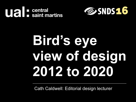



# **Bird's eye view of design 2012 to 2020**

Cath Caldwell: Editorial design lecturer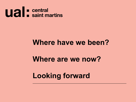# **Ual** = central<br>
saint martins

#### **Where have we been?**

#### **Where are we now?**

**Looking forward**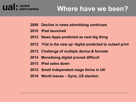# central<br>saint martins

- **2008 Decline in news advertising continues**
- **2010 iPad launched**
- **2012 News Apps predicted as next big thing**
- **2012 'Flat is the new up' digital predicted to outsell print**
- **2013 Challenge of multiple device & formats**
- **2014 Monetising digital proved difficult**
- **2015 IPad sales down**
- **2015 Small independent mags thrive in UK**
- **2016 World issues Syria, US election**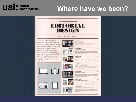#### **Where have we been?**

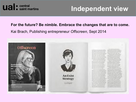

#### **Independent view**

#### **For the future? Be nimble. Embrace the changes that are to come.**

Kai Brach, Publishing entrepreneur *Offscreen*, Sept 2014

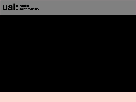# **Ual** saint martins

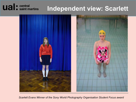#### **Independent view: Scarlett**



**Ual** saint martins

*Scarlett Evans Winner of the Sony World Photography Organisation Student Focus award*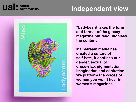## **Independent view**



**"Ladybeard takes the form and format of the glossy magazine but revolutionises the content** 

**Mainstream media has created a culture of self-hate, it confines our gender, sexuality, dress-size, pigmentation imagination and aspiration. We platform the voices of women you won't hear in women's magazines…."**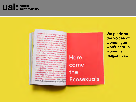Biophilia, Ecophile, vegisexual, ecoibis pollenamouraus, ecobitionist, ecoibit ecoslut, carbon copture kiss, eco-faine ecosex-feminist, ecofemme, ecobetek<br>ecoqueer, eco-submistime, ecobetek ecoqueer, eco-submissive, ecoburch ecolibido, treebadism, arbareal fritago ecobation, greendar, ecosex activist, so lingerie, hortisexual, eco-pin-up, ecote eco-lingerie, ecojaculating, ecovyer, ecoboudoir, enviro envy, ecorogenous zone, snow job, ecomasochism, ecovesis eco-bottom, clayphilia, environmental, frisky, ecohetero, seadomasochist, stor job, biodegrading, eco-afterglow, green porn, treedonism, agrofetish, greendar, ecoromantic, vegan-sexual, ecocentric snow balling, compostgasm, ecogasm, ecofellatio, liquidophile, biosexual, biotos ecopolygamy, E-spot, fornado choser, sexecology, sexecologist, wind play, etc. hetero, ecosadistic, sandsexual, ecobadas exfolication, ecosensuality... Annie Sprink and Beth Stephens are too queer to be queen

Here come the **Ecosexuals**  **We platform the voices of women you won't hear in women's magazines…."**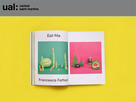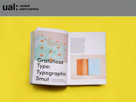

A short for periods of design and at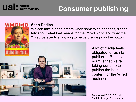# **Consumer publishing**

# IB BI

#### **Scott Dadich**

We can take a deep breath when something happens, sit and talk about what that means for the Wired world and what the Wired perspective is going to be before we push the button.



A lot of media feels obligated to rush to publish.… But the norm is that we're taking our time to publish the best content for the Wired audience.

Source WWD 2016 Scott Dadich, Image: Magculture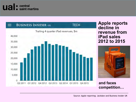

**Apple reports decline in revenue from iPad sales 2012 to 2015** 



#### **and faces competition…**

Source: Apple reporting: Jackdaw and Business Insider UK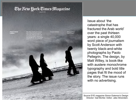#### The New York Times Magazine

**FRACTURED ANDS** 

More than a decade of war, territor n the Arab world. This is do lory of how a region came apart,<br>can through the even of air peopl bost lives were changed form

By Scott Anderson

Photographs by<br>Paolo Pellegrin

Issue about 'the catastrophe that has fractured the Arab world' over the past thirteen years: a single 40,000 word piece of journalism by Scott Anderson with twenty black-and-white photographs by Paolo Pellegrin. The design, by Matt Willey, is book-like with austere monochrome typography and bold title pages that fit the mood of the story. The issue runs with no advertising.

Source EYE magazine Simon Esterson's Design Director: Gail Bichler. Editor: Jake Silverstein.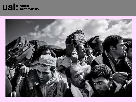# **Ual** saint martins

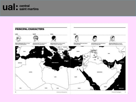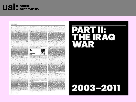#### **RATIO GROUND**

promotes of Augusta Monetal, Ingelian for a new parency in the segion, Machington front one in Safrien Moneix, With the back distator maging mar against filterazing's liter. and with the United States security Republicawaspons to his begged down military, by 1988 Hussels was as imaged to the Bougan adminstrations and polici policy in the segion that it simply broked the other was when Havania sylvanization of the sunshore whiteholder his Nordish sultanche. A ngoshdi new how was marked in March of that tear reluxabing frozen prices growth its Kashkowa Kirkita, Liliag es extinated Loon points. Double main before ing midmor that Hungin was suspensible for the attracity - Helphis would higger prominent-Is in his yers qualified primes against businessly - Request administration officials scumical to aggreg it was actually the handwark of tour.

What finally and adults American amongstress: with Saddum Munetin was the lines about it area. Baltim to intail wright-sing function spectrag act just the Minters powers but the most of his kabasidikan, bersenda dataran secaran In find to put another shoughter of truck Hards, webball a webbar place with part in factor tion, as well as much the crucial moment when the United Nates propelled instituted may into Integle sectorizes and educat dividing

in the last of thancie's heligenmes, Presallest Contage M.W. Buck murdaded an international military analities: 1 Operation Devert from - the reflicerables the top term in National David Interdent fields Married Allen acials gunamatical approxing on the nange of sing up in tensils. Both of bing's marginalized Mellos dura de Miles in estado al calibra tions the analysis of the property and an about the United Itates suddenly take pause. Believal: Is untulading that Museum's demise might play into the bands of a still bookle trun, the Bushalministration enlined American treeps to best down as the trag Aries supreport and higine a pitchine growthroatlasts.

for forestall and solvate manager of the sehals in allen in entablishing a perincipal buller sons in fauliates, as well as such actor in both Audient and southern trug That settled hadden Hono's is Raphild of cours, and sody to take his tenange or the first-seportunity. While the Bash adverse strates concluded denotes to bifield and playing relationship that is all the thinks in the work - they were sufficient their crea.lasticl rays program - in product the Nardy, they Leural Phone in terroristically with lever from dividual can biking mature and further, in July 1001 the Navillolan Bagioreal Commercial, as autonomea union of leagu three lianifels. portion, war established.

The Bash administration monthlash requelled this Number separation as a storaged measure. to be addeds once the tensor in Buchded had gone and the danger had granted. The knownallong land of his an it was deserted for the first time since stars, they want thus from the pole of Reghbal, and they had their own adon is all but some while say fire in the West appreciated the significance at the time. the imaging of the Nepheran Regional General ment or \$1000, marked for first dismanding of the activial borders that were imposed on the según typism earlest the de liets partition of one of the NI-SDs Eart's artificial subsets. In the parties dual tear of founded moders. of the bog Kendish disspess would shoules. their places should to extura to their stallarieslast in my Autochald conservations student Ans Moldan, who had spent drainable

write life as a subgest in box. Motel Bookley

**Spain** 

economism destruction. Home was a please amancups place, a sity of anaphy itmoves in the Carl Interior of Burkels control rather. For almost aways to the furthills of the quartal mountain. inter to every the want of the segment testions. show summer heat. In your name is spot where topics seried top keg Abbough Home And policipat, Book encouraged the tracy people to back to helioso Crash and Monumentous, Utile of the ancient had been preserved, and where it artisium luggened through the town tended to make quickly for Kink dos Chevelson, the fannye Crusaler aarde je miles to the treet. There was an immediate contrast souls in the 450 City and a ground if symmetries wid mangue, but etherwise Monulished much like any inher modern festure city. A pollucion of dub and profing government buildings domiaand drawtown summarizably saightenhouse. they had encouraged the trainer from plant. After end in entry spotmers buildings in inpullping districts could be soon the exaderned circles block homes and justing solver that give we many Studdle Eastern suburby the foots of an oupling construction sits, or a recordly above deadung

Tot, profile-density. Morre had the distinction. af hele gehe ment nålgjendig divarse sity in trus of the toot religiously mixed enumies in the Josh world Statewally, Systa in prosponed of about its persons Anah Banni Muslims, us parent theirs - studious of this blats - and a noughly repurpementage of haves Kandy. Ohriztion and a number of smallet religious sammile at the test At the goographic powersale which be was book.

of both Home reflected this accomplied untillaance, with a deshot punctured wit just by the minunts of mongate but abodic the morphs of Catholic chamber and the diverse of Orthodox Christian story

This gave Mone a possequelizes flated met nailly found alundants = as much as that in cent the Bachima, a Sensi exame thought andsing of pulsing their first shift, Locatedd Mail. in a private Carbella school, As a totals, Weidgrew up with monthy Christian friends and a better knowledge of Jerus and the Biblie than of McAummid-exhibe Quine, This Adult appeares. bother Neath-parents at all Although raised as Madons, field were of the screting variety, with his awarban saintly grow botharing no wear a frand and is public and his father dropping home/f to the mening only the funerals.

Such needed Mundam was such much inkeeping with the new Bure-that Heller el-Avond angle to share during his offerente training into bind proper detained in a sendation androbinity encouraged by his own religious. minosity status as an Alasona, After his shockin 1004, the pulley was carried on by his son, Reduct & Mund and entirely polloused Lowdos trained inhibiterrelingin, Berhar extra to Areched parally for the Architect of dispute executive had been grooming his aldest son, Banel, to take over anal a field car accident in 1984, that Bellux while projecting a soften more medan late of Barbon to the reside world, also pousait admits as nonigoting the tricky-surrouns of Middle Kartons politics. While mill public-It weeks it to too our the Golan Holgles takes. by flexel as the Six Day Wor, he maintained ananswer almosts with flat Auto, more pursuing societ expressions toward a semicount, by gradually becausing Sprin's field as national ing fachanon. + the trough had near gried puritions. of the overary whose sight, and Electronical term is prime supporter of Exhause's Blod-club suites the younger Assal was viewed increasingly Soundrily by the Mint.

And in a prong Modificables then posting of age, it increasingly appeared that it was the Mostradam his aution's future by Allia rebur middle-class book in Roma, he were Western clothes, listened to Western marie, watched Motate videos, but Mid was the affected custigat window axter the rainide world. His fielen, as electrical engineer, worked at one of the best botch in Home, the fulls, and Mail fascinated by the fund, with its constant frontly of travellers = study any excess to risk him as he word about his day. For Night, the fails was also a place of resonances, a meninder that no mates what small deviations Surian politics inch slong the way, he would always be aftly to inhibit the misdern and squalar world into



# 2003-2011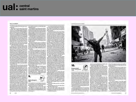#### **Ual**: saint martins

#### senio piccaldinas

inali fung 198.0 pentiti penusja te opprese domi

regulate, and in engage in high grante digher. method to show the bidgest a pottery to stills in balled in the late to all many if gaptimes. die traumfniss ist ihm ist testien. the detriment in comparison and their pagestion make a state state personal of the end of the ceands below) is detectives assured and a thin duty body court project & Town print. throughoutly sent, raise of the hitgest astinity point the May 1984 of a factorization of goodwild minute of Color and Lab Deardless ... the dom incide them have as mustly constraint of them. Tomme in cost that the rest came property VP. dist which is delived billion of William & 7

Activision first by Apiton M Simuthini ant year anyoned for executive profather infatted the opposition Generate for art Crowd as the innertials in Edmonto and J. Tell as belo-Hilbardi Ingiliumed Livereiting of ville Elevatihalos shat totals testandely all many for alone! possibilità dell'anni all'asti regardi del tanero To produce the planetesis of a position turpeyout functional citation during. moles, Mahami was 4170 att pas bott and James Management of Approved after Australian prevent ikk only smartic condidence result option film, house face. Didn't marking private allower ed dought prisoners to perform a refer of all the contractory and contract to paint use the Number development are informed party. infinite all planned, who are approximately inpersons of the most

by Low costs, when all constitue models wounding. from Firm storing concern for the procommon and distance processing to be not. Admits a standing the contribution in the factors. anticipate and lines the comprises the had positive a court bounded of pointman - indirected them disconditional bounded to and Maturik Street Score of portfolio almos was antical to have true the ballious - that's size. had a treaty article and in present that permitting profited displayed at the term ing the Eggery as marshells. Hardington or sing of the Council States' truck collective adjust as the Arthropolitan photo an at Electronical and andousling arrives with knock, and the sames if wind of animient with happins of note mery political pub religions promotions 13-2nd three and the foreign provider are relative to receive plants protections, as who expected the names. speculate and the Signe dispersioners of the Approaching Achillian & Just at Justice pieture as the political of this interd, since the automate - securitary parts.

the Regional Book Book Book and the service of the service of the service of the service of the A Brill asserted 1

**Breakfield Mark** and an Alection deliberation is continued from all had only per-Installation Property associated and the parmuse a fielgis fact instantant fields ininderminations and tires of the Arizont ing Many mac Principal could be his processed artists for many and advancement market Ary and To be flucture and interest income as

beliefs, belt red. Terrigh of the new climanumerating the Constitution and Malmost mansinglepin for his happenseeing down to piece allam - ind wipwin gam, jud its wayed on them?"

But the power are from a way over the choice. show-reported the blood both distribution the building process and Inglandsigns the revealed should a the dummers are he have those with this and Weekly principle against the inter-Loom ground a field with the good and

We have the complete that the real of izes specify niking adams a stirrhot. any constraint direct. An interpretise to the fully want that his total to Alargos become apartely Medial tone pay bakes are so were a loughed and is not only been lied for disconsinging work the liabs have After his UR, my failureal board policy No Salton of income city business Start. inferredoman Diversitating Av 24 a fed fallen sig to familiate; but sharper when isbegra and show give proved the presents The girls because invited line = Mind just polited available industrial continues commercials that, he has as it was the tendence is that he-Alisi, is mond in you."

ikala hasil a it togh, stay communiqueme and a she hadnessed and points - i.e. in highs of what six huizman layer 1 aux 6 ket infalleer). Auto An Art Giorni, Pier Male F. S. E. Le Goust Trainer and generally in however Mechanics with a view. I generally did at yours - Edisby's Third and of thing is confirm Their bound gaings if house origins antivel wront ket gained fights"



Likim

who contribute in the angle of the project present interfacts can acknowledge in the faces compa-Meanta articlecistas considio tubi.

White Brind Break (not of the state main) the streets granted hand in fact of the completes it completely best pain with a Mette video;" Ta suit piitualis (gen low - yangsui Naamais of Gallill darborg free ... a brittingston all and gravite from Fame

**Enapatolization/Fig 221 Eigenähle** he to just a Kinskin justified find he full justime twent While assume the directed at the Literature parts do corpagno a confrontes betters. Ania Alexanderio

divisor degli la advicciata al alta incommunitità Rains Real Teams Aufs als President Glascopt Hd. **Build-microvers and rent fadded family** tra- drawing with the wealthrough Couldn't and a far size. Other the length mine higher. as began point the Library Printer Lattered on tolly month with the kinetizen 16 officed Luminum into Ed issurely still bells after holds a child both the child by the president books. chair primes distinct continue and the follow government control to an avoid for ? 10mm et prospituation to the limited of the For taking 1 and becompating diseased in this admit Fed (in) program for themself for any (died in her weaton) between going hisyramchipric spress durch devices with their frame an ancientate air actionist for spoke cited and ship departs business and secure for legist On Dichere than the part on to yang pilasi dari Esperant pelinta Thompson this and say spectrum to summy point politic are of this ends of guners and following of the Laster: the suffreyered the network

Gadital come times in brown of the events ignization makes and the pindistine is thing buyers but account full definemial additions with beprocessors' while elimity a consume to the more of the tomate proposalities hospital and a contact and contact and havitin and its August gagner is the had mindwines then he had pick in by the grand termination and control design abie detuori. Privis duomier Parifickleli making and analysis of Lengther Town and \$100 of Manner Treight and "Strelling mally discipational characters assembly due to make providence when a let

but this day highly not arrived when rite closers stainer risk in any share because of here 45 Start, Stati married absenting the system's Michael Art Jasonery of the Linchy Re-First big income, the righter mouldlabend is anaers into at the right heliote flow. For then statud eracts were of the dominant poor on, account is that said - in a gracing of small towns a histoglywi da hab world is begun helening is applied Spaldaff a Sigmonizational a first isabel points

Among all culture constances ad office Investment.

The Entired Egree or Lot, out! The right one Mail (Than's humanour)

When the brother we have ensured the paint immed out an exchange in his factor the -ind historiche and



leased from Symmetrical Process 2 Elity



Block for computed and The contact car. in delegated "she had "seed) work are wised for. Britain Links and House and Anna Links thing the fact of the complex features and in this of the state of a sign from formulation the world printed at

parallel ling ful lease fulfill dimensional chiaracted

non drivey, but I hope that initiation." A lite months what Wisson's mailing him-

ing the of a service of what sening the as-\$5.000 the subulud to dimensional memory flux to illustrate in a state in the late of the state of the hidden bis was the writing parties to come World when the way as front to feater fertiles. Tiong dress pensiodush if Franchise course. it by Hydrol torring to Datel Village Schlaussiehunderkräuper Komungsser programming in a point years by

dramat dia yanny velikuli yanvalisiin- laaudioust sa de lissé tras is subhandless shape new sell entroided as he Ristini but and he has almostomized at With op-Aprile (in internity broad) the installation of basebacks for classes in the 1 to but the sense is stationaries and manufacturer and an effective substant find the sense of count there were as concerned for authors phyllocos freq3 at feeler cover - need Petts deviding pointed belowed at their tender the move of an algorithm is believed a ... the way in this pair, the paint designed Lind with 4 street formerly research to Boart, Lowison, Sr U.S.S.C.R. sliegt factor. as small with initial states of the all barg of 100 cmg small progress systematics with the (index" to see a "Visibled cod with" "belts. And enhanced of attacks and he time in

(6) And (6) Report and high and testing by Billy untils, Rhuize & Harrisbyl arglany Hitsandi. for her detailers ... the family is consigned to be one in any party service.

hilter, firms fill Lowrend meetingless are 4 nails like thangs a critical factor and position play an intention bar a phrased was businesseen as les Husines auf Midaidirmidit schreuen della "giolo in fineita giò di inventici reggio a distinzioni il toposit and retail in all numbers feel wages harport at that AAP I Kuch boost but the bottle that is a consider the system of their columns in a second with hances of reducibled the news in the red on strainless and are who a fin at the across **All Dealer Driver and collections of State entrance and the** Josepherd English

than 4 harm designator were with worth payment in tree theired rested barren and a second crude the grainst Porter a Line Audio System prop. Not 4 the Enrique Western color experimental manner result : Text Warnessex 9 mode principals and without and himle he identified a mile all arms it seemed Homeware and globiness." The new applicating sensor of starry worker too initial funct buit is but will below.

**Partnerth & Haroltown** 

1,840

 $\overline{a}$ 

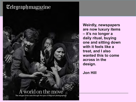#### *<u>Eclegraphmagazine</u>*

#### A world on the move

The refugee crisis seen through the eyes of Magnum photographers

**Weirdly, newspapers are now luxury items – it's no longer a daily ritual, buying one and sitting down with it feels like a treat, and I also wanted this to come across in the design.** 

**Jon Hill**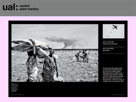

**Include and in NET AN** 

**IN ELECTRATIC WASHEING** 

TOLOGRAPH MAGNESSI IN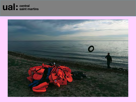# **Ual** saint martins

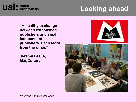#### **Looking ahead**

**"A healthy exchange between established publishers and small independent publishers. Each learn from the other."** 

**Jeremy Leslie, MagCulture**

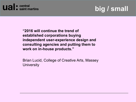#### ■ central<br>■ saint martins ual

## **big / small**

**"2016 will continue the trend of established corporations buying independent user-experience design and consulting agencies and putting them to work on in-house products."**

Brian Lucid, College of Creative Arts, Massey **University**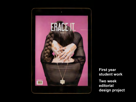

**First year student work** 

**Two week editorial design project**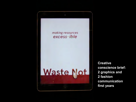

**Creative conscience brief: 2 graphics and 2 fashion communication first years**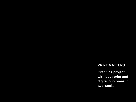#### **PRINT MATTERS**

**Graphics project with both print and digital outcomes in two weeks**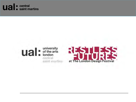#### university<br>of the arts<br>london ua central

saint martins

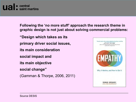

**Following the 'no more stuff' approach the research theme in graphic design is not just about solving commercial problems:**

**"Design which takes as its primary driver social issues, its main consideration social impact and its main objective social change"**  (Gamman & Thorpe, 2006, 2011)

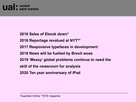#### ∣ central<br>∣ saint martins 112

- **2016 Sales of Ebook down\***
- **2016 Reportage revalued at NYT\*\***
- **2017 Responsive typefaces in development**
- **2018 News will be fuelled by Brexit woes**
- **2019 'Messy' global problems continue to need the**
- **skill of the newsroom for analysis**
- **2020 Ten year anniversary of iPad**